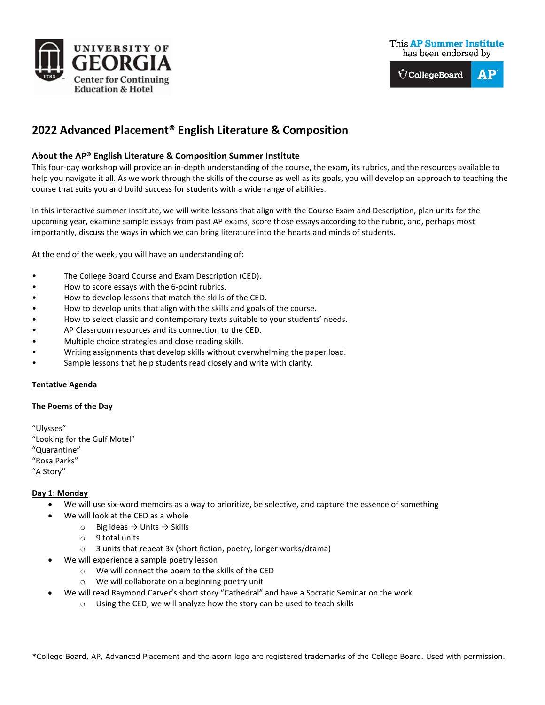



# **2022 Advanced Placement® English Literature & Composition**

## **About the AP® English Literature & Composition Summer Institute**

This four-day workshop will provide an in-depth understanding of the course, the exam, its rubrics, and the resources available to help you navigate it all. As we work through the skills of the course as well as its goals, you will develop an approach to teaching the course that suits you and build success for students with a wide range of abilities.

In this interactive summer institute, we will write lessons that align with the Course Exam and Description, plan units for the upcoming year, examine sample essays from past AP exams, score those essays according to the rubric, and, perhaps most importantly, discuss the ways in which we can bring literature into the hearts and minds of students.

At the end of the week, you will have an understanding of:

- The College Board Course and Exam Description (CED).
- How to score essays with the 6-point rubrics.
- How to develop lessons that match the skills of the CED.
- How to develop units that align with the skills and goals of the course.
- How to select classic and contemporary texts suitable to your students' needs.
- AP Classroom resources and its connection to the CED.
- Multiple choice strategies and close reading skills.
- Writing assignments that develop skills without overwhelming the paper load.
- Sample lessons that help students read closely and write with clarity.

## **Tentative Agenda**

#### **The Poems of the Day**

["Ulysses"](https://www.poetryfoundation.org/poems/45392/ulysses) ["Looking for the Gulf Motel"](https://poets.org/poem/looking-gulf-motel) ["Quarantine"](https://poets.org/poem/quarantine) ["Rosa Parks"](https://www.poetryfoundation.org/poems/90180/rosa-parks) ["A Story"](https://poets.org/poem/story-0)

## **Day 1: Monday**

- We will use six-word memoirs as a way to prioritize, be selective, and capture the essence of something
- We will look at the CED as a whole
	- $\circ$  Big ideas  $\rightarrow$  Units  $\rightarrow$  Skills
	- o 9 total units
	- o 3 units that repeat 3x (short fiction, poetry, longer works/drama)
- We will experience a sample poetry lesson
	- o We will connect the poem to the skills of the CED
	- o We will collaborate on a beginning poetry unit
- We will read Raymond Carver's short story "Cathedral" and have a Socratic Seminar on the work
	- o Using the CED, we will analyze how the story can be used to teach skills

\*College Board, AP, Advanced Placement and the acorn logo are registered trademarks of the College Board. Used with permission.